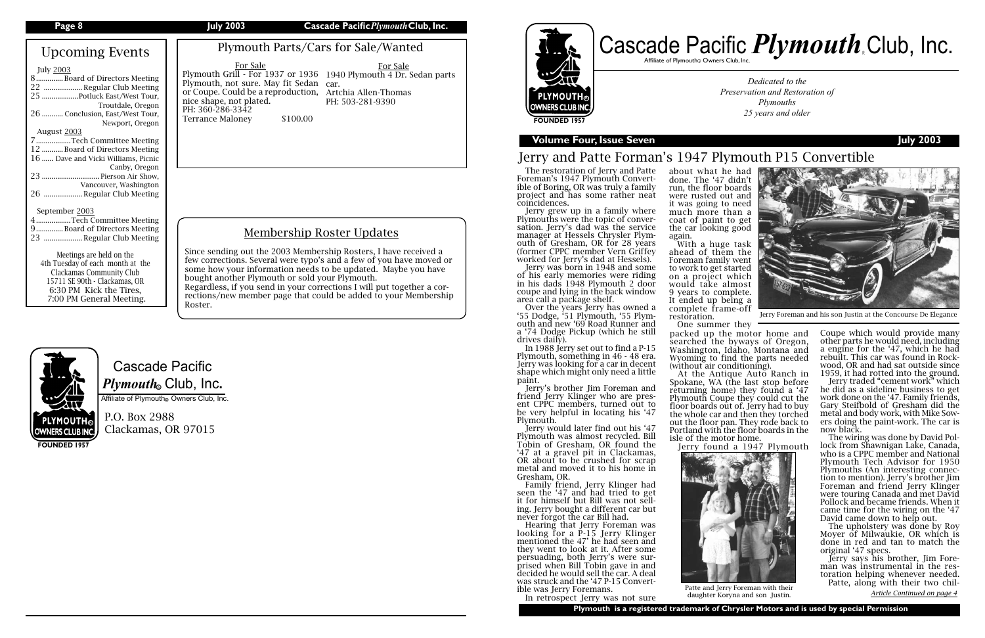## Cascade Pacific  $\boldsymbol{P} \boldsymbol{l}$ y*mouth*. Club, Inc.

Affiliate of Plymouth Owners Club, Inc.

P.O. Box 2988 Clackamas, OR 97015

**FOUNDED 1957**

Affiliate of Plymouth $_{\tiny \textcircled{\tiny \textcirc}}$  Owners Club, Inc.

## rman's 1947 Plymouth P15 Convertible

wned a '55 Dodge, '51 Plymouth, '55 Plymouth and new '69 Road Runner and a '74 Dodge Pickup (which he still drives daily).

*Dedicated to the Preservation and Restoration of Plymouths 25 years and older*

### **Volume Four, Issue Sevent Four, Issue Sevent Four, Issue Sevent Four, Issue Sevent Four, Issue Sevent Four, Issue Sevent Four, Issue Sevent Four, Issue Sevent Four, Issue Sevent Four, Issue Sevent Four, Issue Sevent Four,**

At the Antique Auto Ranch in Spokane, WA (the last stop before returning home) they found a '47 Plymouth Coupe they could cut the floor boards out of. Jerry had to buy the whole car and then they torched out the floor pan. They rode back to Portland with the floor boards in the isle of the motor home.

In 1988 Jerry set out to find a P-15 Plymouth, something in 46 - 48 era. Jerry was looking for a car in decent shape which might only need a little paint.

Jerry's brother Jim Foreman and<br>friend Jerry Klinger who are present CPPC members, turned out to be very helpful in locating his '47 Plymouth.

> The wiring was done by David Pollock from Shawnigan Lake, Canada, who is a CPPC member and National Plymouth Tech Advisor for 1950 Plymouths (An interesting connection to mention). Jerry's brother Jim Foreman and friend Jerry Klinger were touring Canada and met David Pollock and became friends. When it came time for the wiring on the '47 David came down to help out.

Jerry would later find out his '47 Plymouth was almost recycled. Bill Tobin of Gresham, OR found the '47 at a gravel pit in Clackamas, OR about to be crushed for scrap metal and moved it to his home in Gresham, OR.

Family friend, Jerry Klinger had seen the '47 and had tried to get it for himself but Bill was not sell- ing. Jerry bought a different car but never forgot the car Bill had.

| Page 8                                                                                                                                                                                                                                                                                    | <b>July 2003</b>                                                                                                             | Cascade Pacific Plymouth Club, Inc.                                                                                                                                                                                                                                                                                                                                                                                                         |                                                                                                                                                                                                                                                                                                                                                                                                                                                       |
|-------------------------------------------------------------------------------------------------------------------------------------------------------------------------------------------------------------------------------------------------------------------------------------------|------------------------------------------------------------------------------------------------------------------------------|---------------------------------------------------------------------------------------------------------------------------------------------------------------------------------------------------------------------------------------------------------------------------------------------------------------------------------------------------------------------------------------------------------------------------------------------|-------------------------------------------------------------------------------------------------------------------------------------------------------------------------------------------------------------------------------------------------------------------------------------------------------------------------------------------------------------------------------------------------------------------------------------------------------|
| <b>Upcoming Events</b><br><b>July 2003</b><br>8Board of Directors Meeting<br>22  Regular Club Meeting<br>25  Potluck East/West Tour,<br>Troutdale, Oregon<br>26  Conclusion, East/West Tour,<br>Newport, Oregon<br>August 2003<br>7Tech Committee Meeting                                 | For Sale<br>Plymouth, not sure. May fit Sedan car.<br>nice shape, not plated.<br>PH: 360-286-3342<br><b>Terrance Maloney</b> | Plymouth Parts/Cars for Sale/Wanted<br>For Sale<br>Plymouth Grill - For 1937 or 1936 1940 Plymouth 4 Dr. Sedan parts<br>or Coupe. Could be a reproduction, Artchia Allen-Thomas<br>PH: 503-281-9390<br>\$100.00                                                                                                                                                                                                                             | as<br><b>PLYMOUTH®</b><br>OWNERS CLUB INC.<br><b>FOUNDED 1957</b><br><b>Volume Four, Issue S</b>                                                                                                                                                                                                                                                                                                                                                      |
| 12 Board of Directors Meeting<br>16  Dave and Vicki Williams, Picnic<br>Canby, Oregon<br>23  Pierson Air Show,<br>Vancouver, Washington<br>26  Regular Club Meeting                                                                                                                       |                                                                                                                              |                                                                                                                                                                                                                                                                                                                                                                                                                                             | Jerry and Patte Fo<br>The restoration of Jerry and<br>Foreman's 1947 Plymouth Co<br>ible of Boring, OR was truly a<br>project and has some rathe<br>coincidences.                                                                                                                                                                                                                                                                                     |
| September 2003<br>4Tech Committee Meeting<br>9 Board of Directors Meeting<br>23  Regular Club Meeting<br>Meetings are held on the<br>4th Tuesday of each month at the<br>Clackamas Community Club<br>15711 SE 90th - Clackamas, OR<br>6:30 PM Kick the Tires,<br>7:00 PM General Meeting. | Roster.                                                                                                                      | <b>Membership Roster Updates</b><br>Since sending out the 2003 Membership Rosters, I have received a<br>few corrections. Several were typo's and a few of you have moved or<br>some how your information needs to be updated. Maybe you have<br>bought another Plymouth or sold your Plymouth.<br>Regardless, if you send in your corrections I will put together a cor-<br>rections/new member page that could be added to your Membership | Jerry grew up in a family<br>Plymouths were the topic of c<br>sation. Jerry's dad was the<br>manager at Hessels Chrysler<br>outh of Gresham, OR for 28<br>(former CPPC member Vern $\theta$<br>worked for Jerry's dad at Hes<br>Jerry was born in 1948 and<br>of his early memories were<br>in his dads 1948 Plymouth 2<br>coupe and lying in the back w<br>area call a package shelf.<br>Over the years Jerry has ov<br>'55 Dodge, '51 Plymouth, '55 |



Hearing that Jerry Foreman was looking for a P-15 Jerry Klinger mentioned the 47' he had seen and they went to look at it. After some persuading, both Jerry's were surprised when Bill Tobin gave in and decided he would sell the car. A deal was struck and the '47 P-15 Convertible was Jerry Foremans.

In retrospect Jerry was not sure



# Cascade Pacific *Plymouth* Club, Inc.



about what he had done. The '47 didn't run, the floor boards were rusted out and it was going to need much more than a coat of paint to get the car looking good

again.

With a huge task ahead of them the Foreman family went to work to get started on a project which would take almost 9 years to complete. It ended up being a complete frame-off

restoration.

d Patte onvertf amily er neat

where onverservice Plymyears Griffey ssels).

d some riding  $2$  door vindow

One summer they

packed up the motor home and searched the byways of Oregon, Washington, Idaho, Montana and Wyoming to find the parts needed (without air conditioning).

Jerry found a 1947 Plymouth



Patte, along with their two chil-<br>
Patte, along with their<br>
daughter Koryna and son Justin *Article Continued on page 4* daughter Koryna and son Justin.

Coupe which would provide many other parts he would need, including a engine for the '47, which he had rebuilt. This car was found in Rockwood, OR and had sat outside since 1959, it had rotted into the ground.

Jerry traded "cement work" which he did as a sideline business to get work done on the '47. Family friends, Gary Steifbold of Gresham did the metal and body work, with Mike Sowers doing the paint-work. The car is now black.

The upholstery was done by Roy Moyer of Milwaukie, OR which is done in red and tan to match the original '47 specs.

Jerry says his brother, Jim Foreman was instrumental in the restoration helping whenever needed.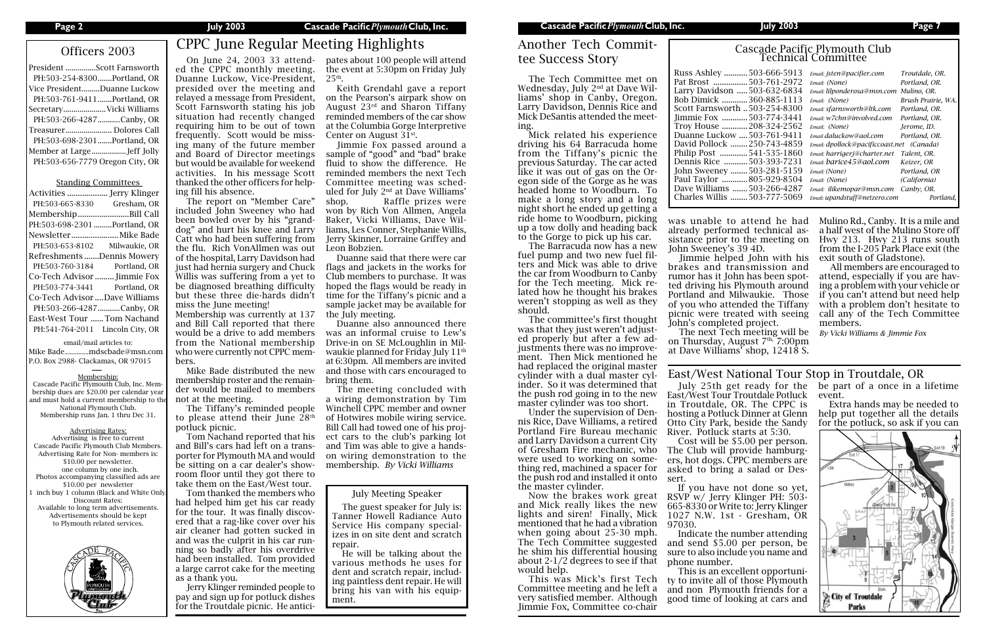## Officers 2003 CPPC June Regular Meeting Highlights

| President Scott Farnsworth      |  |
|---------------------------------|--|
| PH:503-254-8300Portland, OR     |  |
| Vice PresidentDuanne Luckow     |  |
| PH:503-761-9411Portland, OR     |  |
| SecretaryVicki Williams         |  |
| PH:503-266-4287Canby, OR        |  |
| Treasurer Dolores Call          |  |
| PH:503-698-2301Portland, OR     |  |
| Member at LargeJeff Jolly       |  |
| PH:503-656-7779 Oregon City, OR |  |
|                                 |  |

### Standing Committees

| PH:503-665-8330                  | Gresham, OR   |
|----------------------------------|---------------|
| MembershipBill Call              |               |
| PH:503-698-2301 Portland, OR     |               |
| Newsletter  Mike Bade            |               |
| PH:503-653-8102                  | Milwaukie, OR |
| Refreshments Dennis Mowery       |               |
| PH:503-760-3184                  | Portland, OR  |
| Co-Tech Advisor  Jimmie Fox      |               |
| PH:503-774-3441 Portland, OR     |               |
| Co-Tech Advisor Dave Williams    |               |
| PH:503-266-4287 Canby, OR        |               |
| East-West Tour  Tom Nachand      |               |
| PH:541-764-2011 Lincoln City, OR |               |

### email/mail articles to:

Mike Bade..............mdscbade@msn.com P.O. Box 2988- Clackamas, OR 97015

### Membership:

Cascade Pacific Plymouth Club, Inc. Membership dues are \$20.00 per calendar year and must hold a current membership to the National Plymouth Club. Membership runs Jan. 1 thru Dec 31.

### Advertising Rates:

Advertising is free to current Cascade Pacific Plymouth Club Members. Advertising Rate for Non- members is: \$10.00 per newsletter. one column by one inch. Photos accompanying classified ads are \$10.00 per newsletter inch buy 1 column (Black and White Only Discount Rates: Available to long term advertisements. Advertisements should be kept to Plymouth related services.



# Cascade Pacific Plymouth Club<br>Technical Committee<br>Russ Ashley ............503-666-5913 *Email: jsten@pacifier.com*

| 503-666-5913      | Email: isten@pacifier.com                 | Troutdale, OR.     |
|-------------------|-------------------------------------------|--------------------|
| 503-761-2972      | Email: (None)                             | Portland, OR.      |
| on   503-632-6834 | Email: lilponderosa@msn.com               | Mulino, OR.        |
| 360-885-1113<br>. | Email: (None)                             | Brush Prairie, WA. |
| orth 503-254-8300 | Email: sfarnsworth@ltk.com                | Portland, OR.      |
| 503-774-3441      | Email: w7chn@involved.com                 | Portland, OR.      |
| 208-324-2562      | Email: (None)                             | Jerome, ID.        |
| :ow  503-761-9411 | Email daluckow@aol.com                    | Portland, OR.      |
| k 250-743-4859    | Email: dpollock@pacificcoast.net (Canada) |                    |
| 541-535-1860      | Email: harrigerj@charter.net              | Talent, OR.        |
| 503-393-7231      | Email: barice45@aol.com                   | Keizer, OR         |
| y 503-281-5159    | Email: (None)                             | Portland, OR       |
| 805-929-8504      | Email: (None)                             | (California)       |
| s 503-266-4287    | Email: ilikemopar@msn.com                 | Canby, OR.         |
| s 503-777-5069    | Email: upandstuff@netzero.com             | Portland.          |
|                   |                                           |                    |

## Another Tech Committee Success Story

The Tech Committee met on Wednesday, July 2nd at Dave Williams' shop in Canby, Oregon. Larry Davidson, Dennis Rice and Mick DeSantis attended the meeting.

Mick related his experience driving his 64 Barracuda home from the Tiffany's picnic the previous Saturday. The car acted like it was out of gas on the Oregon side of the Gorge as he was headed home to Woodburn. To make a long story and a long night short he ended up getting a ride home to Woodburn, picking up a tow dolly and heading back to the Gorge to pick up his car.

The Barracuda now has a new fuel pump and two new fuel filters and Mick was able to drive the car from Woodburn to Canby for the Tech meeting. Mick related how he thought his brakes weren't stopping as well as they should.

The committee's first thought was that they just weren't adjusted properly but after a few adjustments there was no improvement. Then Mick mentioned he had replaced the original master cylinder with a dual master cylinder. So it was determined that the push rod going in to the new master cylinder was too short.

Under the supervision of Dennis Rice, Dave Williams, a retired Portland Fire Bureau mechanic and Larry Davidson a current City of Gresham Fire mechanic, who were used to working on something red, machined a spacer for the push rod and installed it onto the master cylinder.

Now the brakes work great and Mick really likes the new lights and siren! Finally, Mick mentioned that he had a vibration when going about 25-30 mph. The Tech Committee suggested he shim his differential housing about 2-1/2 degrees to see if that would help.

This was Mick's first Tech Committee meeting and he left a very satisfied member. Although Jimmie Fox, Committee co-chair

Pat Brost ................503-761-2972 *Email: (None) Portland, OR.* Larry Davidson Bob Dimick ............360-885-1113 *Email: (None) Brush Prairie, WA.* **Scott Farnsw** Jimmie Fox... Troy House ............208-324-2562 *Email: (None) Jerome, ID.* Duanne Luckow ....503-761-9411 *Email daluckow@aol.com Portland, OR.* David Pollock ........250-743-4859 *Email: dpollock@pacificcoast.net (Canada)* Philip Post ... Dennis Rice ...........503-393-7231 *Email: barice45@aol.com Keizer, OR* John Sweeney ........503-281-5159 *Email: (None) Portland, OR* Paul Taylor ............805-929-8504 *Email: (None) (California)* Dave Williams .......503-266-4287 *Email: ilikemopar@msn.com Canby, OR.* Charles Willis ........503-777-5069 *Email: upandstuff@netzero.com Portland,* 

pates about 100 people will attend the event at 5:30pm on Friday July  $25<sup>th</sup>$ .

### July Meeting Speaker

The guest speaker for July is: Tanner Howell Radiance Auto Service His company specializes in on site dent and scratch repair.

He will be talking about the various methods he uses for dent and scratch repair, including paintless dent repair. He will bring his van with his equipment.

On June 24, 2003 33 attended the CPPC monthly meeting. Duanne Luckow, Vice-President, presided over the meeting and relayed a message from President, Scott Farnsworth stating his job situation had recently changed requiring him to be out of town frequently. Scott would be missing many of the future member and Board of Director meetings but would be available for weekend activities. In his message Scott thanked the other officers for help-

ing fill his absence. The report on "Member Care" included John Sweeney who had been bowled over by his "granddog" and hurt his knee and Larry Catt who had been suffering from the flu. Rich VonAllmen was out of the hospital, Larry Davidson had just had hernia surgery and Chuck Willis was suffering from a yet to be diagnosed breathing difficulty but these three die-hards didn't miss the June meeting!

Membership was currently at 137 and Bill Call reported that there would be a drive to add members from the National membership who were currently not CPPC members.

Mike Bade distributed the new membership roster and the remainder would be mailed to members not at the meeting.

The Tiffany's reminded people to please attend their June 28th potluck picnic.

Tom Nachand reported that his and Bill's cars had left on a transporter for Plymouth MA and would be sitting on a car dealer's showroom floor until they got there to take them on the East/West tour.

Tom thanked the members who had helped him get his car ready for the tour. It was finally discovered that a rag-like cover over his air cleaner had gotten sucked in and was the culprit in his car running so badly after his overdrive had been installed. Tom provided a large carrot cake for the meeting as a thank you.

Jerry Klinger reminded people to pay and sign up for potluck dishes for the Troutdale picnic. He antici-

was unable to attend he had already performed technical assistance prior to the meeting on John Sweeney's 39 4D.

Jimmie helped John with his brakes and transmission and rumor has it John has been spotted driving his Plymouth around Portland and Milwaukie. Those of you who attended the Tiffany picnic were treated with seeing John's completed project.

The next Tech meeting will be on Thursday, August 7th, 7:00pm at Dave Williams' shop, 12418 S.

East/West Tour Troutdale Potluck event. in Troutdale, OR. The CPPC is hosting a Potluck Dinner at Glenn Otto City Park, beside the Sandy River. Potluck starts at 5:30.

Cost will be \$5.00 per person. The Club will provide hamburgers, hot dogs. CPPC members are asked to bring a salad or Dessert.

July 25th get ready for the be part of a once in a lifetime

If you have not done so yet, RSVP w/ Jerry Klinger PH: 503- 665-8330 or Write to: Jerry Klinger 1027 N.W. 1st - Gresham, OR 97030.

Indicate the number attending and send \$5.00 per person, be sure to also include you name and phone number.

This is an excellent opportunity to invite all of those Plymouth and non Plymouth friends for a good time of looking at cars and

East/West National Tour Stop in Troutdale, OR

Extra hands may be needed to help put together all the details for the potluck, so ask if you can



Mulino Rd., Canby. It is a mile and a half west of the Mulino Store off Hwy 213. Hwy 213 runs south from the I-205 Park Place exit (the exit south of Gladstone).

All members are encouraged to attend, especially if you are having a problem with your vehicle or if you can't attend but need help with a problem don't hesitate to call any of the Tech Committee members.

*By Vicki Williams & Jimmie Fox*

Keith Grendahl gave a report on the Pearson's airpark show on August 23rd and Sharon Tiffany reminded members of the car show at the Columbia Gorge Interpretive Center on August 31st.

Jimmie Fox passed around a sample of "good" and "bad" brake fluid to show the difference. He reminded members the next Tech Committee meeting was scheduled for July 2nd at Dave Williams' shop. Raffle prizes were won by Rich Von Allmen, Angela Baker, Vicki Williams, Dave Williams, Les Conner, Stephanie Willis, Jerry Skinner, Lorraine Griffey and Leon Bobzien.

Duanne said that there were car flags and jackets in the works for Club members to purchase. It was hoped the flags would be ready in time for the Tiffany's picnic and a sample jacket may be available for the July meeting.

Duanne also announced there was an informal cruise to Lew's Drive-in on SE McLoughlin in Milwaukie planned for Friday July 11<sup>th</sup> at 6:30pm. All members are invited and those with cars encouraged to bring them.

The meeting concluded with a wiring demonstration by Tim Winchell CPPC member and owner of Hotwires mobile wiring service. Bill Call had towed one of his project cars to the club's parking lot and Tim was able to give a handson wiring demonstration to the membership. *By Vicki Williams*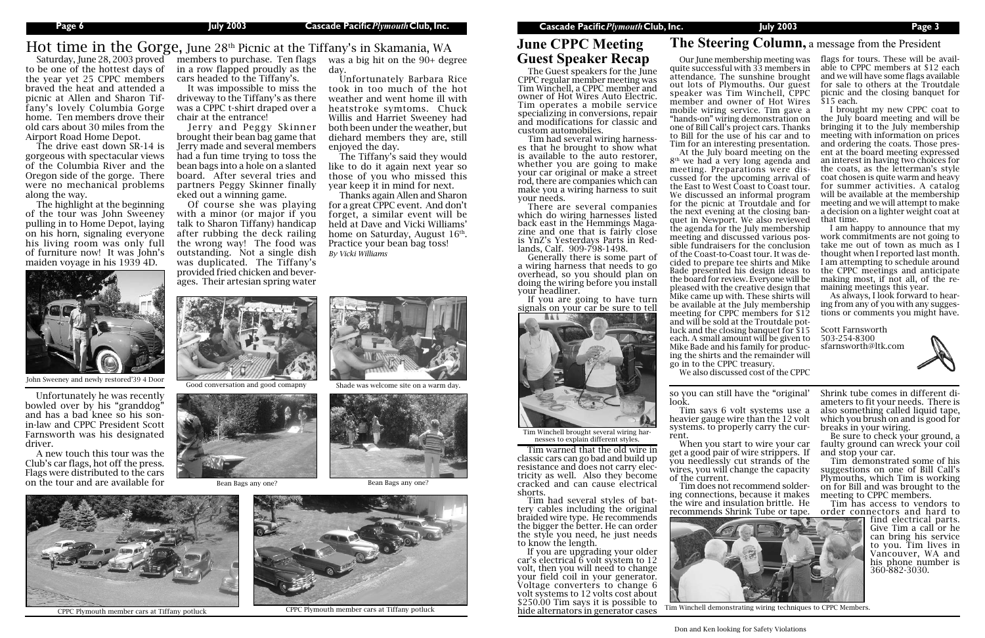## Hot time in the Gorge, June 28<sup>th</sup> Picnic at the Tiffany's in Skamania, WA **June CPPC Meeting The Steering Column**, a message from the President

The Guest speakers for the June CPPC regular member meeting was Tim Winchell, a CPPC member and owner of Hot Wires Auto Electric. Tim operates a mobile service specializing in conversions, repair and modifications for classic and custom automobiles.

There are several companies which do wiring harnesses listed back east in the Hemmings Magazine and one that is fairly close<br>is YnZ's Yesterdays Parts in Redlands, Calf. 909-798-1498.

Tim had several wiring harness- es that he brought to show what is available to the auto restorer, whether you are going to make your car original or make a street rod, there are companies which can make you a wiring harness to suit your needs.

Generally there is some part of a wiring harness that needs to go overhead, so you should plan on doing the wiring before you install your headliner.

If you are going to have turn signals on your car be sure to tell

## **June CPPC Meeting Guest Speaker Recap**

Tim warned that the old wire in classic cars can go bad and build up resistance and does not carry elec- tricity as well. Also they become cracked and can cause electrical

to be one of the hottest days of in a row flapped proudly as the the year yet 25 CPPC members braved the heat and attended a picnic at Allen and Sharon Tiffany's lovely Columbia Gorge home. Ten members drove their old cars about 30 miles from the Airport Road Home Depot.

> shorts.<br>Tim had several styles of battery cables including the original braided wire type. He recommends the bigger the better. He can order the style you need, he just needs to know the length.

The drive east down SR-14 is gorgeous with spectacular views of the Columbia River and the Oregon side of the gorge. There were no mechanical problems along the way.

The highlight at the beginning of the tour was John Sweeney pulling in to Home Depot, laying on his horn, signaling everyone his living room was only full of furniture now! It was John's maiden voyage in his 1939 4D.



cars headed to the Tiffany's.

Be sure to check your ground, a faulty ground can wreck your coil and stop your car.

It was impossible to miss the driveway to the Tiffany's as there was a CPPC t-shirt draped over a chair at the entrance!

Jerry and Peggy Skinner brought their bean bag game that Jerry made and several members had a fun time trying to toss the bean bags into a hole on a slanted board. After several tries and partners Peggy Skinner finally eked out a winning game.

Of course she was playing with a minor (or major if you talk to Sharon Tiffany) handicap after rubbing the deck railing the wrong way! The food was outstanding. Not a single dish was duplicated. The Tiffany's provided fried chicken and beverages. Their artesian spring water

Saturday, June 28, 2003 proved members to purchase. Ten flags was a big hit on the 90+ degree day.

> If you are upgrading your older car's electrical 6 volt system to 12 volt, then you will need to change your field coil in your generator. Voltage converters to change 6 volt systems to 12 volts cost about \$250.00 Tim says it is possible to hide alternators in generator cases

so you can still have the "original'

look.

Tim says 6 volt systems use a heavier gauge wire than the 12 volt systems. to properly carry the current.

When you start to wire your car get a good pair of wire strippers. If you needlessly cut strands of the wires, you will change the capacity of the current.



Tim does not recommend soldering connections, because it makes the wire and insulation brittle. He recommends Shrink Tube or tape. Shrink tube comes in different di- ameters to fit your needs. There is also something called liquid tape, which you brush on and is good for breaks in your wiring.

Tim demonstrated some of his suggestions on one of Bill Call's Plymouths, which Tim is working on for Bill and was brought to the meeting to CPPC members.

Tim has access to vendors to order connectors and hard to

Unfortunately Barbara Rice took in too much of the hot weather and went home ill with heatstroke symtoms. Chuck Willis and Harriet Sweeney had both been under the weather, but diehard members they are, still enjoyed the day.

The Tiffany's said they would like to do it again next year so those of you who missed this year keep it in mind for next.



Tim Winchell brought several wiring harnesses to explain different styles.

Thanks again Allen and Sharon for a great CPPC event. And don't forget, a similar event will be held at Dave and Vicki Williams' home on Saturday, August 16<sup>th</sup>. Practice your bean bag toss! *By Vicki Williams*





Bean Bags any one? Bean Bags any one?



Unfortunately he was recently bowled over by his "granddog" and has a bad knee so his sonin-law and CPPC President Scott Farnsworth was his designated driver.

A new touch this tour was the Club's car flags, hot off the press. Flags were distributed to the cars on the tour and are available for







CPPC Plymouth member cars at Tiffany potluck CPPC Plymouth member cars at Tiffany potluck

quite successful with 33 members in attendance. The sunshine brought out lots of Plymouths. Our guest speaker was Tim Winchell, CPPC member and owner of Hot Wires mobile wiring service. Tim gave a "hands-on" wiring demonstration on one of Bill Call's project cars. Thanks to Bill for the use of his car and to Tim for an interesting presentation. At the July board meeting on the 8th we had a very long agenda and meeting. Preparations were discussed for the upcoming arrival of the East to West Coast to Coast tour. We discussed an informal program for the picnic at Troutdale and for the next evening at the closing banquet in Newport. We also reviewed the agenda for the July membership meeting and discussed various possible fundraisers for the conclusion of the Coast-to-Coast tour. It was decided to prepare tee shirts and Mike Bade presented his design ideas to the board for review. Everyone will be pleased with the creative design that Mike came up with. These shirts will be available at the July membership meeting for CPPC members for \$12 and will be sold at the Troutdale potluck and the closing banquet for \$15 each. A small amount will be given to Mike Bade and his family for producing the shirts and the remainder will

Our June membership meeting was flags for tours. These will be available to CPPC members at \$12 each and we will have some flags available for sale to others at the Troutdale picnic and the closing banquet for \$15 each.

go in to the CPPC treasury. We also discussed cost of the CPPC

> find electrical parts. Give Tim a call or he can bring his service to you. Tim lives in Vancouver, WA and his phone number is 360-882-3030.



I brought my new CPPC coat to the July board meeting and will be bringing it to the July membership meeting with information on prices and ordering the coats. Those present at the board meeting expressed an interest in having two choices for the coats, as the letterman's style coat chosen is quite warm and heavy for summer activities. A catalog will be available at the membership meeting and we will attempt to make a decision on a lighter weight coat at that time.

I am happy to announce that my work commitments are not going to take me out of town as much as I thought when I reported last month. I am attempting to schedule around the CPPC meetings and anticipate making most, if not all, of the remaining meetings this year.

As always, I look forward to hearing from any of you with any suggestions or comments you might have.

Scott Farnsworth 503-254-8300 sfarnsworth@ltk.com



Tim Winchell demonstrating wiring techniques to CPPC Members.